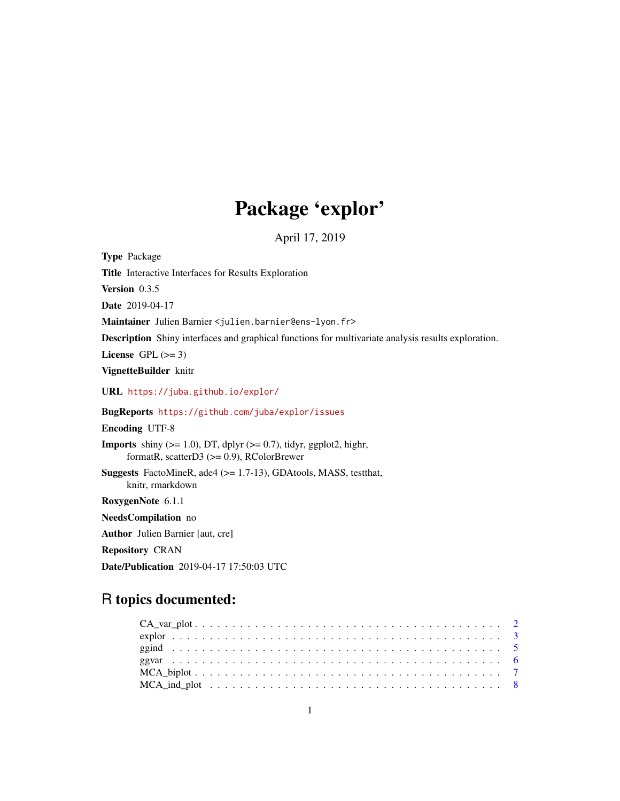# Package 'explor'

April 17, 2019

<span id="page-0-0"></span>

| <b>Type Package</b>                                                                                                             |
|---------------------------------------------------------------------------------------------------------------------------------|
| Title Interactive Interfaces for Results Exploration                                                                            |
| <b>Version</b> $0.3.5$                                                                                                          |
| Date 2019-04-17                                                                                                                 |
| Maintainer Julien Barnier < julien.barnier@ens-lyon.fr>                                                                         |
| <b>Description</b> Shiny interfaces and graphical functions for multivariate analysis results exploration.                      |
| License GPL $(>= 3)$                                                                                                            |
| VignetteBuilder knitr                                                                                                           |
| URL https://juba.github.io/explor/                                                                                              |
| BugReports https://github.com/juba/explor/issues                                                                                |
| <b>Encoding UTF-8</b>                                                                                                           |
| <b>Imports</b> shiny $(>= 1.0)$ , DT, dplyr $(>= 0.7)$ , tidyr, ggplot2, highr,<br>formatR, scatterD3 $(>= 0.9)$ , RColorBrewer |
| <b>Suggests</b> FactoMineR, ade4 $(>= 1.7-13)$ , GDAtools, MASS, test that,<br>knitr, rmarkdown                                 |
| RoxygenNote 6.1.1                                                                                                               |
| NeedsCompilation no                                                                                                             |
| <b>Author</b> Julien Barnier [aut, cre]                                                                                         |
| <b>Repository CRAN</b>                                                                                                          |

## Date/Publication 2019-04-17 17:50:03 UTC

### R topics documented: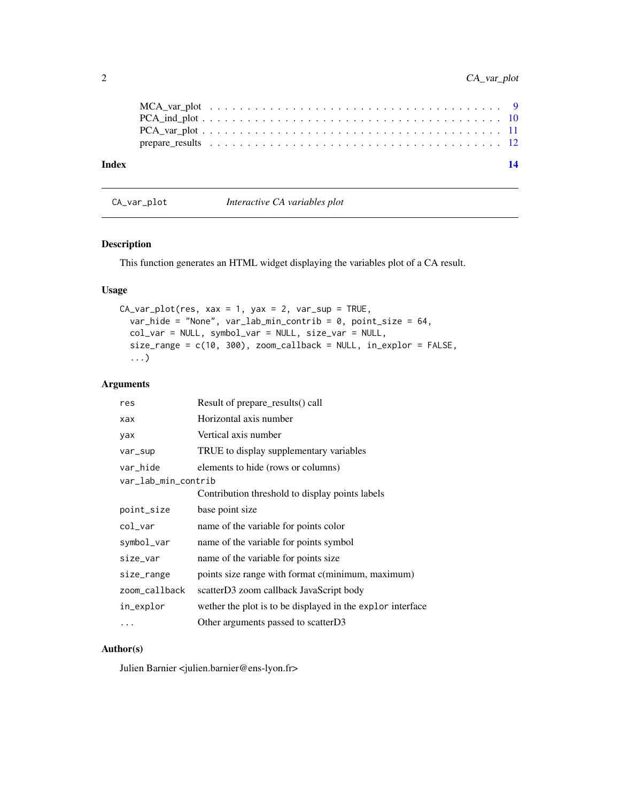<span id="page-1-0"></span>

| Index |  |  |  |  |  |  |  |  |  |  |  |  |  |  |  |  |  | 14 |
|-------|--|--|--|--|--|--|--|--|--|--|--|--|--|--|--|--|--|----|
|       |  |  |  |  |  |  |  |  |  |  |  |  |  |  |  |  |  |    |
|       |  |  |  |  |  |  |  |  |  |  |  |  |  |  |  |  |  |    |
|       |  |  |  |  |  |  |  |  |  |  |  |  |  |  |  |  |  |    |

CA\_var\_plot *Interactive CA variables plot*

#### Description

This function generates an HTML widget displaying the variables plot of a CA result.

#### Usage

```
CA\_var\_plot(res, xax = 1, yax = 2, var\_sup = TRUE,var_hide = "None", var_lab_min_contrib = 0, point_size = 64,
 col_var = NULL, symbol_var = NULL, size_var = NULL,
  size_range = c(10, 300), zoom_callback = NULL, in_explor = FALSE,
  ...)
```
#### Arguments

| res                 | Result of prepare_results() call                           |
|---------------------|------------------------------------------------------------|
| xax                 | Horizontal axis number                                     |
| yax                 | Vertical axis number                                       |
| var_sup             | TRUE to display supplementary variables                    |
| var_hide            | elements to hide (rows or columns)                         |
| var_lab_min_contrib |                                                            |
|                     | Contribution threshold to display points labels            |
| point_size          | base point size                                            |
| col_var             | name of the variable for points color                      |
| symbol_var          | name of the variable for points symbol                     |
| size_var            | name of the variable for points size                       |
| size_range          | points size range with format c(minimum, maximum)          |
| zoom_callback       | scatterD3 zoom callback JavaScript body                    |
| in_explor           | wether the plot is to be displayed in the explor interface |
| .                   | Other arguments passed to scatterD3                        |

### Author(s)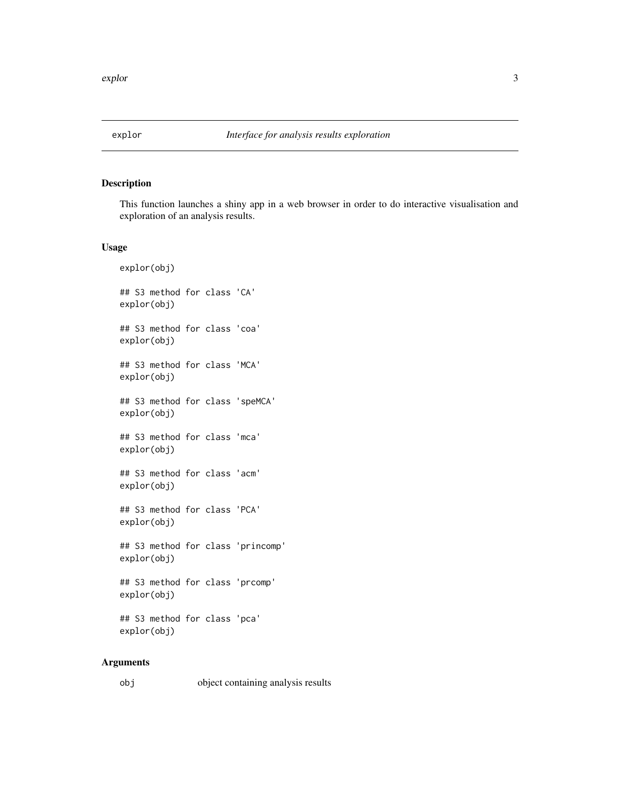<span id="page-2-0"></span>

This function launches a shiny app in a web browser in order to do interactive visualisation and exploration of an analysis results.

#### Usage

```
explor(obj)
## S3 method for class 'CA'
explor(obj)
## S3 method for class 'coa'
explor(obj)
## S3 method for class 'MCA'
explor(obj)
## S3 method for class 'speMCA'
explor(obj)
## S3 method for class 'mca'
explor(obj)
## S3 method for class 'acm'
explor(obj)
## S3 method for class 'PCA'
explor(obj)
## S3 method for class 'princomp'
explor(obj)
## S3 method for class 'prcomp'
explor(obj)
## S3 method for class 'pca'
explor(obj)
```
#### Arguments

| obj | object containing analysis results |  |
|-----|------------------------------------|--|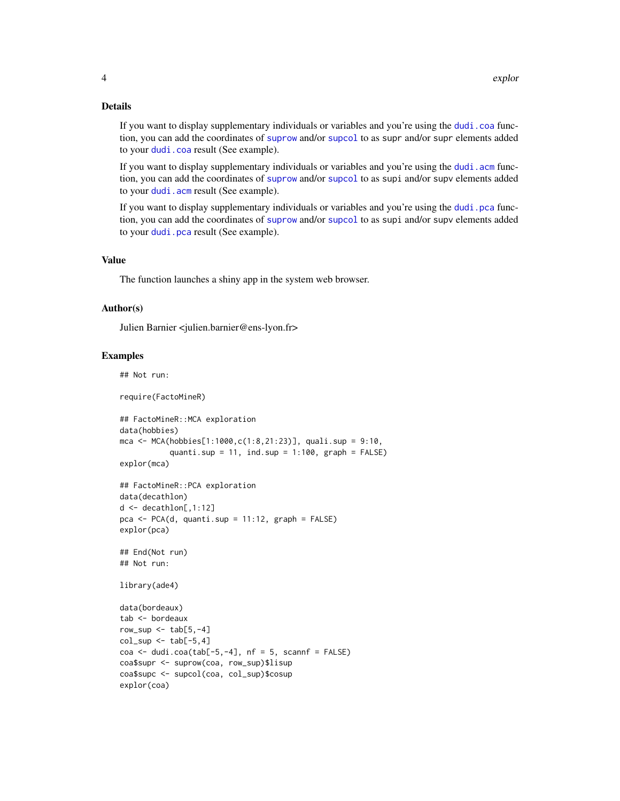#### <span id="page-3-0"></span>Details

If you want to display supplementary individuals or variables and you're using the [dudi.coa](#page-0-0) function, you can add the coordinates of [suprow](#page-0-0) and/or [supcol](#page-0-0) to as supr and/or supr elements added to your [dudi.coa](#page-0-0) result (See example).

If you want to display supplementary individuals or variables and you're using the dudi. acm function, you can add the coordinates of [suprow](#page-0-0) and/or [supcol](#page-0-0) to as supi and/or supv elements added to your [dudi.acm](#page-0-0) result (See example).

If you want to display supplementary individuals or variables and you're using the [dudi.pca](#page-0-0) function, you can add the coordinates of [suprow](#page-0-0) and/or [supcol](#page-0-0) to as supi and/or supv elements added to your [dudi.pca](#page-0-0) result (See example).

#### Value

The function launches a shiny app in the system web browser.

#### Author(s)

Julien Barnier <julien.barnier@ens-lyon.fr>

#### Examples

## Not run: require(FactoMineR) ## FactoMineR::MCA exploration data(hobbies) mca <- MCA(hobbies[1:1000,c(1:8,21:23)], quali.sup = 9:10, quanti.sup =  $11$ , ind.sup =  $1:100$ , graph =  $FALSE$ ) explor(mca) ## FactoMineR::PCA exploration data(decathlon)  $d \leq -$  decathlon[, 1:12]  $pca \leq PCA(d, quanti.sup = 11:12, graph = FALSE)$ explor(pca) ## End(Not run) ## Not run: library(ade4) data(bordeaux) tab <- bordeaux row\_sup  $\le$  tab[5,-4]  $col\_sup \leftarrow tab[-5, 4]$  $\cos \leftarrow \text{dudi}.\cos(\text{tab}[-5,-4], \text{nf} = 5, \text{scan}f = \text{FALSE})$ coa\$supr <- suprow(coa, row\_sup)\$lisup coa\$supc <- supcol(coa, col\_sup)\$cosup explor(coa)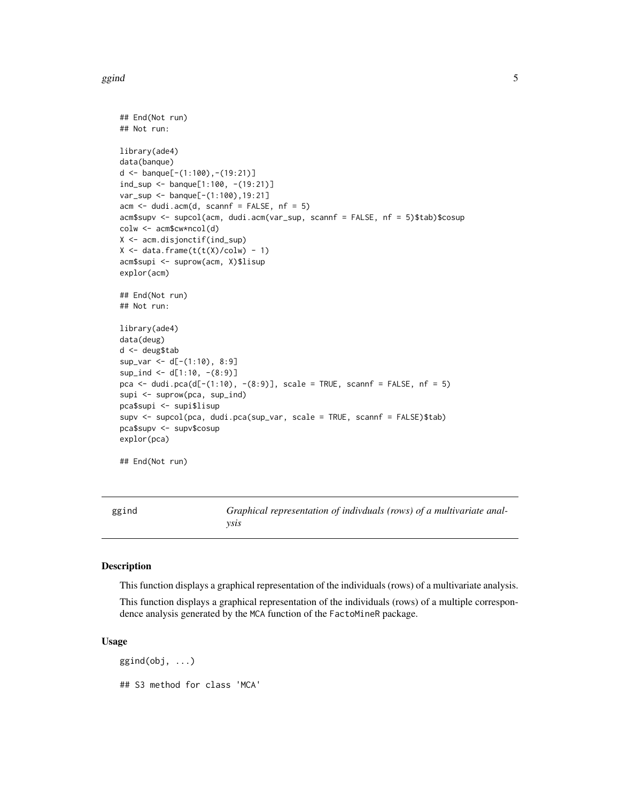#### <span id="page-4-0"></span> $g$ gind  $5$

```
## End(Not run)
## Not run:
library(ade4)
data(banque)
d <- banque[-(1:100), -(19:21)]ind_sup <- banque[1:100, -(19:21)]
var_sup <- banque[-(1:100),19:21]
acm <- dudi.acm(d, scannf = FALSE, nf = 5)
acm$supv <- supcol(acm, dudi.acm(var_sup, scannf = FALSE, nf = 5)$tab)$cosup
colw <- acm$cw*ncol(d)
X <- acm.disjonctif(ind_sup)
X \leftarrow \text{data}. frame(t(t(X)/\text{colw}) - 1)
acm$supi <- suprow(acm, X)$lisup
explor(acm)
## End(Not run)
## Not run:
library(ade4)
data(deug)
d <- deug$tab
sup_var <- d[-(1:10), 8:9]
sup\_ind \le d[1:10, -(8:9)]pca <- dudi.pca(d[-(1:10), -(8:9)], scale = TRUE, scannf = FALSE, nf = 5)
supi <- suprow(pca, sup_ind)
pca$supi <- supi$lisup
supv <- supcol(pca, dudi.pca(sup_var, scale = TRUE, scannf = FALSE)$tab)
pca$supv <- supv$cosup
explor(pca)
## End(Not run)
```
ggind *Graphical representation of indivduals (rows) of a multivariate analysis*

#### Description

This function displays a graphical representation of the individuals (rows) of a multivariate analysis.

This function displays a graphical representation of the individuals (rows) of a multiple correspondence analysis generated by the MCA function of the FactoMineR package.

#### Usage

 $ggind(obj, ...)$ ## S3 method for class 'MCA'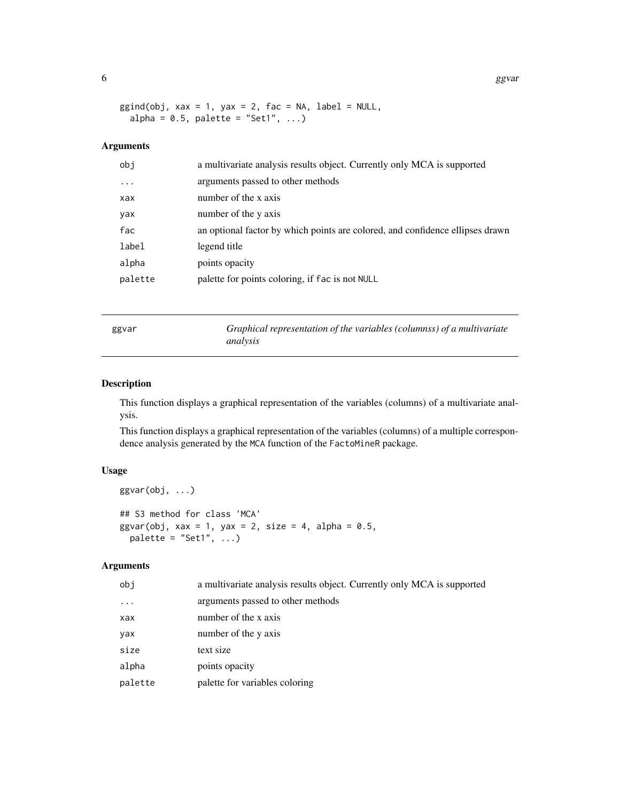6 ggvar ble stort at the stort of the stort of the stort of the stort of the stort of the stort of the stort of the stort of the stort of the stort of the stort of the stort of the stort of the stort of the stort of the st

```
ggind(obj, xax = 1, yax = 2, fac = NA, label = NULL,alpha = 0.5, palette = "Set1", ...)
```
#### Arguments

| obi      | a multivariate analysis results object. Currently only MCA is supported       |
|----------|-------------------------------------------------------------------------------|
| $\ddots$ | arguments passed to other methods                                             |
| xax      | number of the x axis                                                          |
| yax      | number of the y axis                                                          |
| fac      | an optional factor by which points are colored, and confidence ellipses drawn |
| label    | legend title                                                                  |
| alpha    | points opacity                                                                |
| palette  | palette for points coloring, if fac is not NULL                               |
|          |                                                                               |

|--|--|

ggvar *Graphical representation of the variables (columnss) of a multivariate analysis*

#### Description

This function displays a graphical representation of the variables (columns) of a multivariate analysis.

This function displays a graphical representation of the variables (columns) of a multiple correspondence analysis generated by the MCA function of the FactoMineR package.

#### Usage

```
ggvar(obj, ...)
## S3 method for class 'MCA'
ggvar(obj, xax = 1, yax = 2, size = 4, alpha = 0.5,palette = "Set1", \dots)
```
#### Arguments

| obi      | a multivariate analysis results object. Currently only MCA is supported |
|----------|-------------------------------------------------------------------------|
| $\cdots$ | arguments passed to other methods                                       |
| xax      | number of the x axis                                                    |
| yax      | number of the y axis                                                    |
| size     | text size                                                               |
| alpha    | points opacity                                                          |
| palette  | palette for variables coloring                                          |

<span id="page-5-0"></span>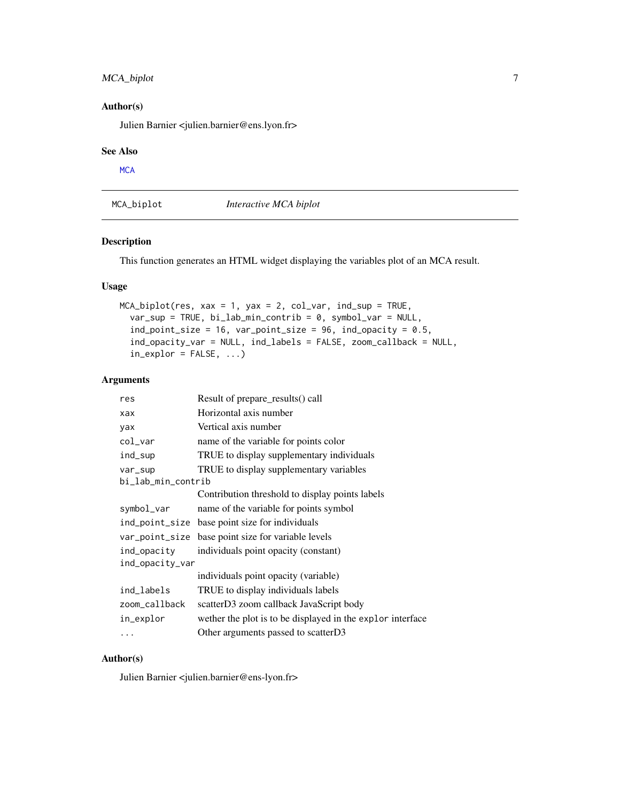#### <span id="page-6-0"></span>MCA\_biplot 7

#### Author(s)

Julien Barnier <julien.barnier@ens.lyon.fr>

#### See Also

**[MCA](#page-0-0)** 

MCA\_biplot *Interactive MCA biplot*

#### Description

This function generates an HTML widget displaying the variables plot of an MCA result.

#### Usage

```
MCA_biplot(res, xax = 1, yax = 2, col_var, ind_sup = TRUE,var_sup = TRUE, bi_lab_min_contrib = 0, symbol_var = NULL,
  ind\_point\_size = 16, var\_point\_size = 96, ind\_opacity = 0.5,
  ind_opacity_var = NULL, ind_labels = FALSE, zoom_callback = NULL,
  in\_explor = FALSE, ...)
```
#### Arguments

| res                | Result of prepare_results() call                           |
|--------------------|------------------------------------------------------------|
| xax                | Horizontal axis number                                     |
| yax                | Vertical axis number                                       |
| col_var            | name of the variable for points color                      |
| ind_sup            | TRUE to display supplementary individuals                  |
| var_sup            | TRUE to display supplementary variables                    |
| bi_lab_min_contrib |                                                            |
|                    | Contribution threshold to display points labels            |
| symbol_var         | name of the variable for points symbol                     |
|                    | ind_point_size base point size for individuals             |
|                    | var_point_size base point size for variable levels         |
| ind_opacity        | individuals point opacity (constant)                       |
| ind_opacity_var    |                                                            |
|                    | individuals point opacity (variable)                       |
| ind_labels         | TRUE to display individuals labels                         |
| zoom_callback      | scatterD3 zoom callback JavaScript body                    |
| in_explor          | wether the plot is to be displayed in the explor interface |
| .                  | Other arguments passed to scatterD3                        |

#### Author(s)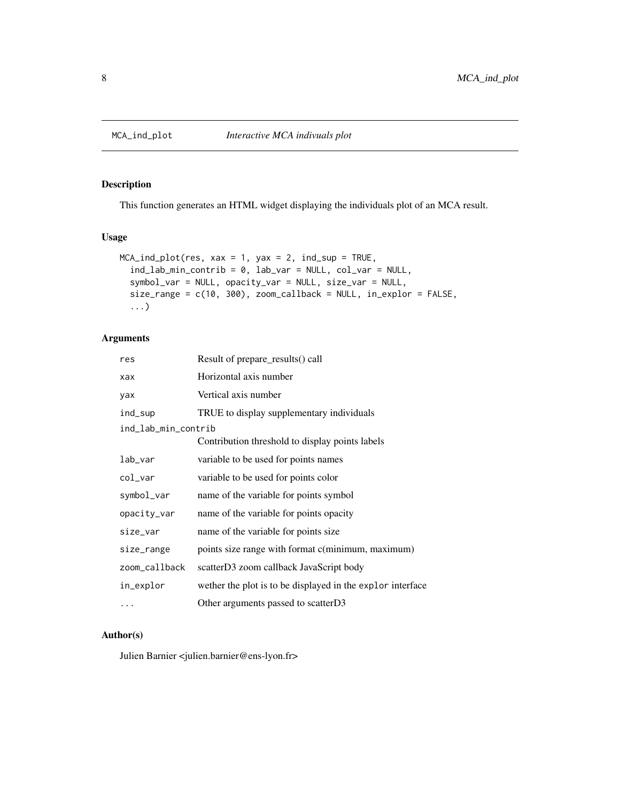<span id="page-7-0"></span>

This function generates an HTML widget displaying the individuals plot of an MCA result.

#### Usage

```
MCA\_ind\_plot(res, xax = 1, yax = 2, ind\_sup = TRUE,ind_lab_min_contrib = 0, lab_var = NULL, col_var = NULL,
  symbol_var = NULL, opacity_var = NULL, size_var = NULL,
  size_range = c(10, 300), zoom_callback = NULL, in_explor = FALSE,
  ...)
```
#### Arguments

| res                 | Result of prepare_results() call                           |
|---------------------|------------------------------------------------------------|
| xax                 | Horizontal axis number                                     |
| yax                 | Vertical axis number                                       |
| ind_sup             | TRUE to display supplementary individuals                  |
| ind_lab_min_contrib |                                                            |
|                     | Contribution threshold to display points labels            |
| lab_var             | variable to be used for points names                       |
| col_var             | variable to be used for points color                       |
| symbol_var          | name of the variable for points symbol                     |
| opacity_var         | name of the variable for points opacity                    |
| size_var            | name of the variable for points size                       |
| size_range          | points size range with format c(minimum, maximum)          |
| zoom_callback       | scatterD3 zoom callback JavaScript body                    |
| in_explor           | wether the plot is to be displayed in the explor interface |
| $\cdots$            | Other arguments passed to scatterD3                        |

#### Author(s)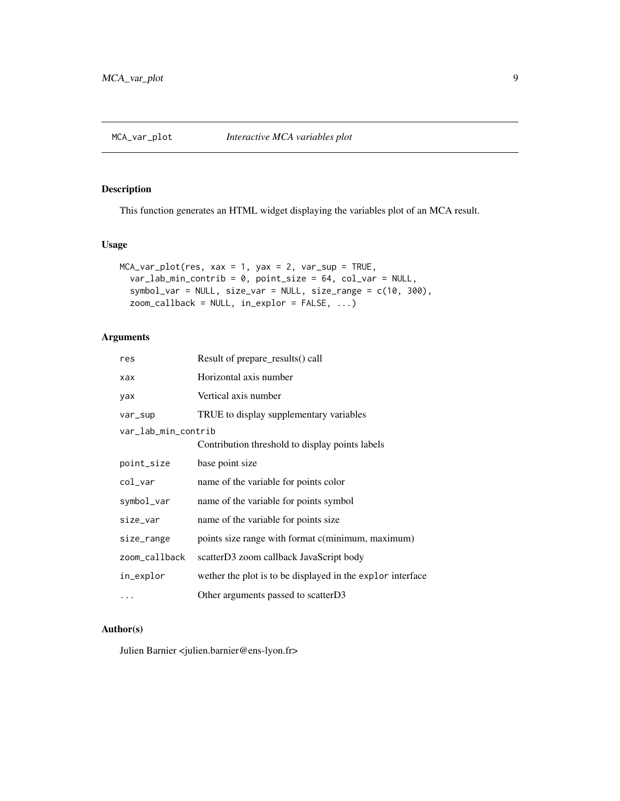<span id="page-8-0"></span>This function generates an HTML widget displaying the variables plot of an MCA result.

#### Usage

```
MCA_Var_plot(res, xax = 1, yax = 2, var_sup = TRUE,var_lab_min_contrib = 0, point_size = 64, col_var = NULL,
  symbol_var = NULL, size_var = NULL, size_range = c(10, 300),
  zoom_callback = NULL, in_explor = FALSE, ...)
```
#### Arguments

| res                 | Result of prepare_results() call                           |
|---------------------|------------------------------------------------------------|
| xax                 | Horizontal axis number                                     |
| yax                 | Vertical axis number                                       |
| var_sup             | TRUE to display supplementary variables                    |
| var_lab_min_contrib |                                                            |
|                     | Contribution threshold to display points labels            |
| point_size          | base point size                                            |
| col_var             | name of the variable for points color                      |
| symbol_var          | name of the variable for points symbol                     |
| size_var            | name of the variable for points size                       |
| size_range          | points size range with format c(minimum, maximum)          |
| zoom_callback       | scatterD3 zoom callback JavaScript body                    |
| in_explor           | wether the plot is to be displayed in the explor interface |
| .                   | Other arguments passed to scatterD3                        |

#### Author(s)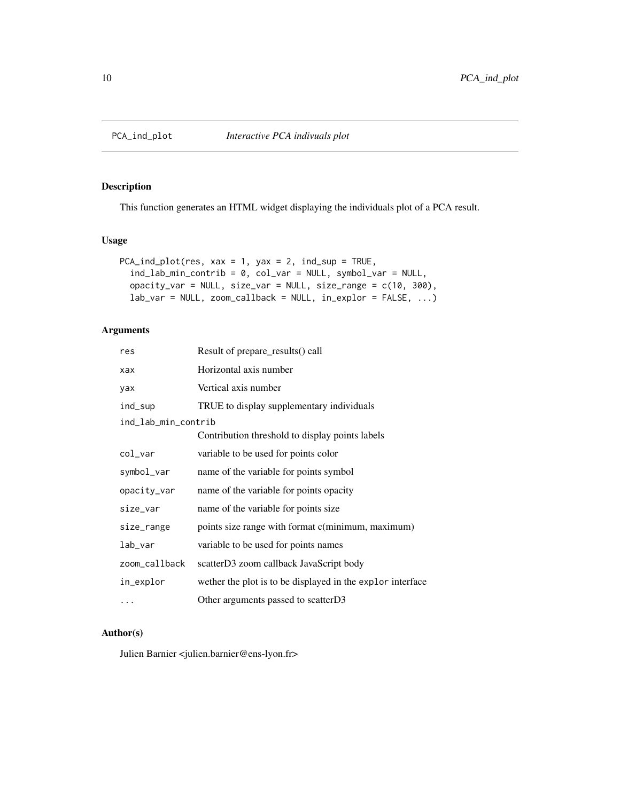<span id="page-9-0"></span>

This function generates an HTML widget displaying the individuals plot of a PCA result.

#### Usage

```
PCA\_ind\_plot(res, xax = 1, yax = 2, ind\_sup = TRUE,ind_lab_min_contrib = 0, col_var = NULL, symbol_var = NULL,
  opacity_var = NULL, size_var = NULL, size_range = c(10, 300),
  lab_var = NULL, zoom_callback = NULL, in_explor = FALSE, ...)
```
#### Arguments

| res                 | Result of prepare_results() call                           |
|---------------------|------------------------------------------------------------|
| xax                 | Horizontal axis number                                     |
| yax                 | Vertical axis number                                       |
| ind_sup             | TRUE to display supplementary individuals                  |
| ind_lab_min_contrib |                                                            |
|                     | Contribution threshold to display points labels            |
| $col\_var$          | variable to be used for points color                       |
| symbol_var          | name of the variable for points symbol                     |
| opacity_var         | name of the variable for points opacity                    |
| size_var            | name of the variable for points size                       |
| size_range          | points size range with format c(minimum, maximum)          |
| lab_var             | variable to be used for points names                       |
| zoom_callback       | scatterD3 zoom callback JavaScript body                    |
| in_explor           | wether the plot is to be displayed in the explor interface |
| $\cdots$            | Other arguments passed to scatterD3                        |

#### Author(s)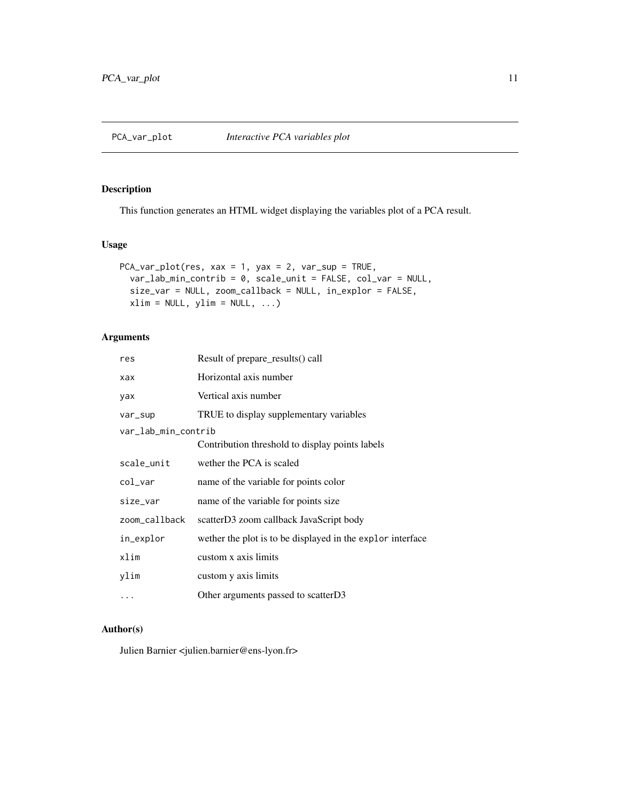<span id="page-10-0"></span>This function generates an HTML widget displaying the variables plot of a PCA result.

#### Usage

```
PCA_var_plot(res, xax = 1, yax = 2, var_sup = TRUE,
  var_lab_min_contrib = 0, scale_unit = FALSE, col_var = NULL,
  size_var = NULL, zoom_callback = NULL, in_explor = FALSE,
 xlim = NULL, ylim = NULL, ...
```
#### Arguments

| res                 | Result of prepare_results() call                           |
|---------------------|------------------------------------------------------------|
| xax                 | Horizontal axis number                                     |
| yax                 | Vertical axis number                                       |
| var_sup             | TRUE to display supplementary variables                    |
| var_lab_min_contrib |                                                            |
|                     | Contribution threshold to display points labels            |
| scale_unit          | wether the PCA is scaled                                   |
| col_var             | name of the variable for points color                      |
| size_var            | name of the variable for points size                       |
| zoom_callback       | scatterD3 zoom callback JavaScript body                    |
| in_explor           | wether the plot is to be displayed in the explor interface |
| xlim                | custom x axis limits                                       |
| ylim                | custom y axis limits                                       |
| .                   | Other arguments passed to scatterD3                        |

#### Author(s)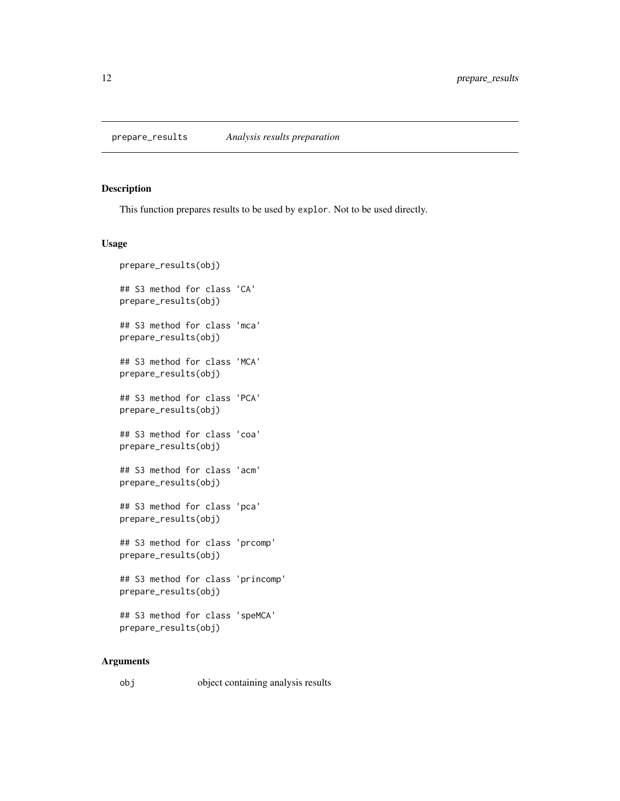<span id="page-11-0"></span>prepare\_results *Analysis results preparation*

#### Description

This function prepares results to be used by explor. Not to be used directly.

#### Usage

```
prepare_results(obj)
## S3 method for class 'CA'
prepare_results(obj)
## S3 method for class 'mca'
prepare_results(obj)
## S3 method for class 'MCA'
prepare_results(obj)
## S3 method for class 'PCA'
prepare_results(obj)
## S3 method for class 'coa'
prepare_results(obj)
## S3 method for class 'acm'
prepare_results(obj)
## S3 method for class 'pca'
prepare_results(obj)
## S3 method for class 'prcomp'
prepare_results(obj)
## S3 method for class 'princomp'
prepare_results(obj)
## S3 method for class 'speMCA'
prepare_results(obj)
```
#### Arguments

```
obj object containing analysis results
```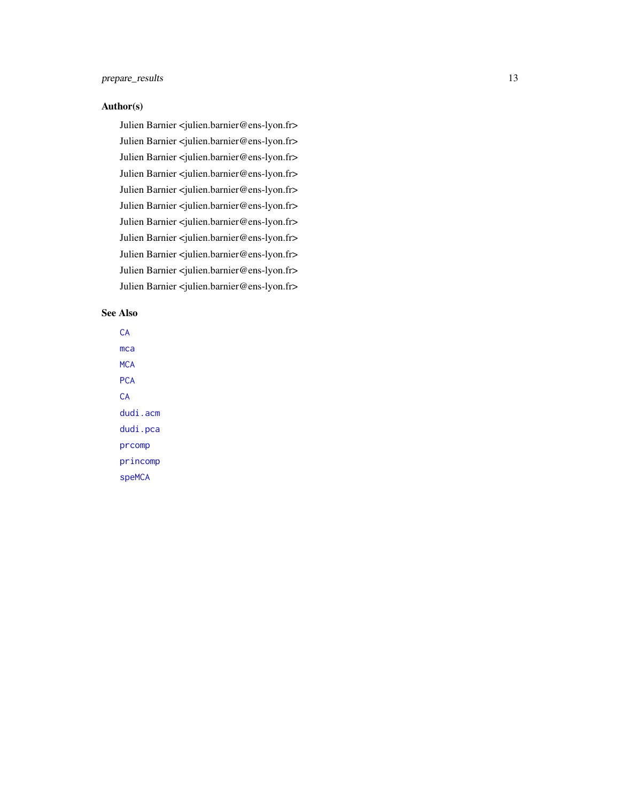#### <span id="page-12-0"></span>Author(s)

Julien Barnier <julien.barnier@ens-lyon.fr> Julien Barnier <julien.barnier@ens-lyon.fr> Julien Barnier <julien.barnier@ens-lyon.fr> Julien Barnier <julien.barnier@ens-lyon.fr> Julien Barnier <julien.barnier@ens-lyon.fr> Julien Barnier <julien.barnier@ens-lyon.fr> Julien Barnier <julien.barnier@ens-lyon.fr> Julien Barnier <julien.barnier@ens-lyon.fr> Julien Barnier <julien.barnier@ens-lyon.fr> Julien Barnier <julien.barnier@ens-lyon.fr> Julien Barnier <julien.barnier@ens-lyon.fr>

#### See Also

**[CA](#page-0-0)** [mca](#page-0-0) **[MCA](#page-0-0) [PCA](#page-0-0) [CA](#page-0-0)** [dudi.acm](#page-0-0) [dudi.pca](#page-0-0) [prcomp](#page-0-0) [princomp](#page-0-0) [speMCA](#page-0-0)